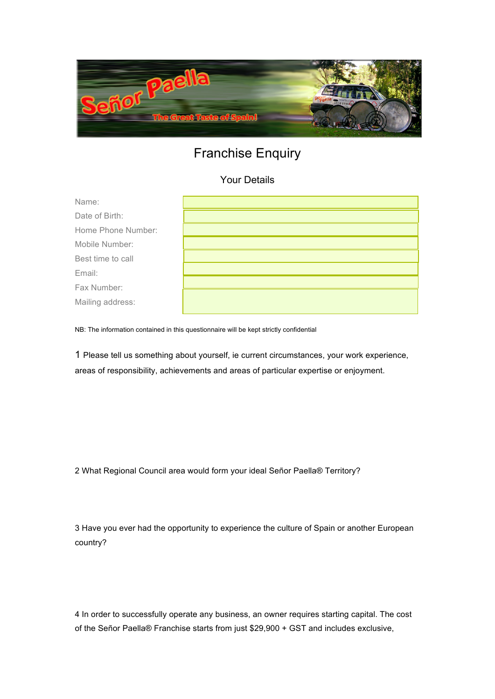

## Franchise Enquiry

## Your Details

| Name:              |  |
|--------------------|--|
| Date of Birth:     |  |
| Home Phone Number: |  |
| Mobile Number:     |  |
| Best time to call  |  |
| Email:             |  |
| Fax Number:        |  |
| Mailing address:   |  |

NB: The information contained in this questionnaire will be kept strictly confidential

1 Please tell us something about yourself, ie current circumstances, your work experience, areas of responsibility, achievements and areas of particular expertise or enjoyment.

2 What Regional Council area would form your ideal Señor Paella® Territory?

3 Have you ever had the opportunity to experience the culture of Spain or another European country?

4 In order to successfully operate any business, an owner requires starting capital. The cost of the Señor Paella® Franchise starts from just \$29,900 + GST and includes exclusive,